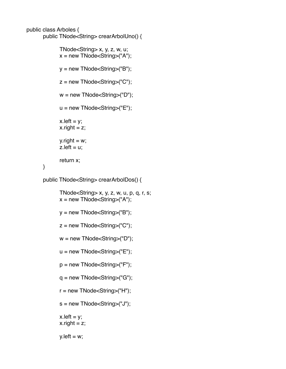```
public class Arboles {
```
}

```
public TNode<String> crearArbolUno() {
```

```
TNode\leString> x, y, z, w, u;
x = new Thode <String>("A");
y = new Thode <String>("B");
z = new Thode < String>("C");
w = new Thode <String>("D");
u = new Thode <String>("E");
x. left = y;
x.right = z;
y.right = w;
z. left = u;
return x;
```
public TNode<String> crearArbolDos() {

```
TNode\leString> x, y, z, w, u, p, q, r, s;
x = new Thode < String>("A");
y = new Thode <String>("B");
z = new TNode<String>("C");
w = new Thode <String>("D");
u = new Thode <String>("E");
p = new Thode <String>("F");
q = new Thode <String>("G");
r = new Thode <String>("H");
s = new TNode<String>("J");
x. left = y;
x.right = z;
y. left = w;
```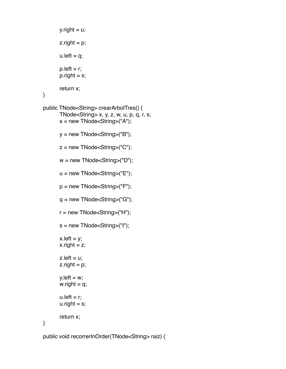```
y.right = u;
       \mathsf{z}.right = \mathsf{p};
       u. left = q;
       p.left = r;p.right = s;return x;
}
public TNode<String> crearArbolTres() {
       TNode\leString> x, y, z, w, u, p, q, r, s;
       x = new Thode <String>("A");
       y = new Thode <String>("B");
       z = new TNode<String>("C");
       w = new Thode <String>("D");
       u = new Thode <String>("E");
       p = new Thode < String>("F");
       q = new Thode <String>("G");
       r = new Thode <String>("H");
       s = new Thode <String>("I");
       x. left = y;
       x.right = z;
       z. left = u;
       \mathsf{z}.right = \mathsf{p};
       y. left = w;
       w. right = q;
       u. left = r;
       u.right = s;
       return x;
}
```
public void recorrerInOrder(TNode<String> raiz) {